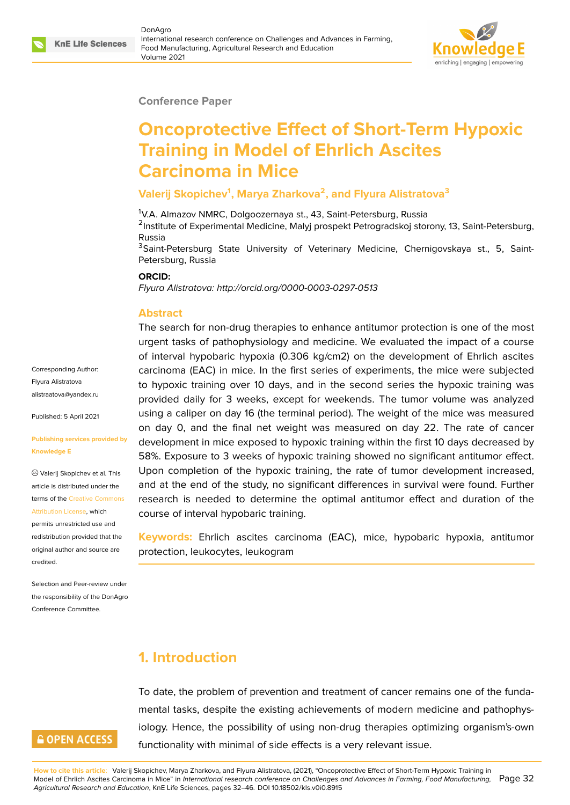#### **Conference Paper**

# **Oncoprotective Effect of Short-Term Hypoxic Training in Model of Ehrlich Ascites Carcinoma in Mice**

#### **Valerij Skopichev<sup>1</sup> , Marya Zharkova<sup>2</sup> , and Flyura Alistratova<sup>3</sup>**

<sup>1</sup>V.A. Almazov NMRC, Dolgoozernaya st., 43, Saint-Petersburg, Russia

<sup>2</sup>Institute of Experimental Medicine, Malyj prospekt Petrogradskoj storony, 13, Saint-Petersburg, Russia

<sup>3</sup>Saint-Petersburg State University of Veterinary Medicine, Chernigovskaya st., 5, Saint-Petersburg, Russia

#### **ORCID:**

*Flyura Alistratova: http://orcid.org/0000-0003-0297-0513*

#### **Abstract**

The search for non-drug therapies to enhance antitumor protection is one of the most urgent tasks of pathophysiology and medicine. We evaluated the impact of a course of interval hypobaric hypoxia (0.306 kg/cm2) on the development of Ehrlich ascites carcinoma (EAC) in mice. In the first series of experiments, the mice were subjected to hypoxic training over 10 days, and in the second series the hypoxic training was provided daily for 3 weeks, except for weekends. The tumor volume was analyzed using a caliper on day 16 (the terminal period). The weight of the mice was measured on day 0, and the final net weight was measured on day 22. The rate of cancer development in mice exposed to hypoxic training within the first 10 days decreased by 58%. Exposure to 3 weeks of hypoxic training showed no significant antitumor effect. Upon completion of the hypoxic training, the rate of tumor development increased, and at the end of the study, no significant differences in survival were found. Further research is needed to determine the optimal antitumor effect and duration of the course of interval hypobaric training.

**Keywords:** Ehrlich ascites carcinoma (EAC), mice, hypobaric hypoxia, antitumor protection, leukocytes, leukogram

### **1. Introduction**

To date, the problem of prevention and treatment of cancer remains one of the fundamental tasks, despite the existing achievements of modern medicine and pathophysiology. Hence, the possibility of using non-drug therapies optimizing organism's-own functionality with minimal of side effects is a very relevant issue.

Corresponding Author: Flyura Alistratova alistraatova@yandex.ru

Published: 5 April 2021

#### **[Publishing services pro](mailto:alistraatova@yandex.ru)vided by Knowledge E**

Valerij Skopichev et al. This article is distributed under the terms of the Creative Commons Attribution License, which

permits unrestricted use and redistribution provided that the original auth[or and source are](https://creativecommons.org/licenses/by/4.0/) [credited.](https://creativecommons.org/licenses/by/4.0/)

Selection and Peer-review under the responsibility of the DonAgro Conference Committee.

## **GOPEN ACCESS**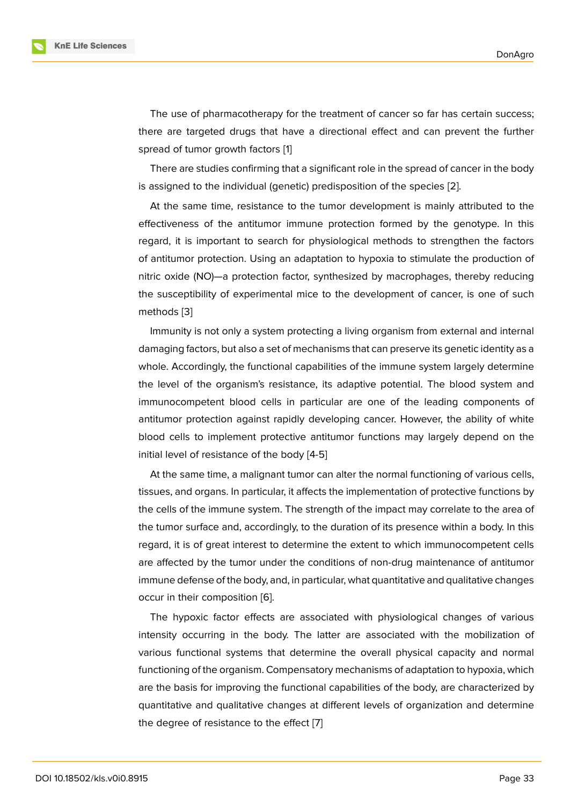The use of pharmacotherapy for the treatment of cancer so far has certain success; there are targeted drugs that have a directional effect and can prevent the further spread of tumor growth factors [1]

There are studies confirming that a significant role in the spread of cancer in the body is assigned to the individual (genetic) predisposition of the species [2].

At the same time, resistance [t](#page-12-0)o the tumor development is mainly attributed to the effectiveness of the antitumor immune protection formed by the genotype. In this regard, it is important to search for physiological methods to stre[ng](#page-12-1)then the factors of antitumor protection. Using an adaptation to hypoxia to stimulate the production of nitric oxide (NO)—a protection factor, synthesized by macrophages, thereby reducing the susceptibility of experimental mice to the development of cancer, is one of such methods [3]

Immunity is not only a system protecting a living organism from external and internal damaging factors, but also a set of mechanisms that can preserve its genetic identity as a whole. Ac[co](#page-12-2)rdingly, the functional capabilities of the immune system largely determine the level of the organism's resistance, its adaptive potential. The blood system and immunocompetent blood cells in particular are one of the leading components of antitumor protection against rapidly developing cancer. However, the ability of white blood cells to implement protective antitumor functions may largely depend on the initial level of resistance of the body [4-5]

At the same time, a malignant tumor can alter the normal functioning of various cells, tissues, and organs. In particular, it affects the implementation of protective functions by the cells of the immune system. The strength of the impact may correlate to the area of the tumor surface and, accordingly, to the duration of its presence within a body. In this regard, it is of great interest to determine the extent to which immunocompetent cells are affected by the tumor under the conditions of non-drug maintenance of antitumor immune defense of the body, and, in particular, what quantitative and qualitative changes occur in their composition [6].

The hypoxic factor effects are associated with physiological changes of various intensity occurring in the body. The latter are associated with the mobilization of various functional systems [t](#page-12-3)hat determine the overall physical capacity and normal functioning of the organism. Compensatory mechanisms of adaptation to hypoxia, which are the basis for improving the functional capabilities of the body, are characterized by quantitative and qualitative changes at different levels of organization and determine the degree of resistance to the effect [7]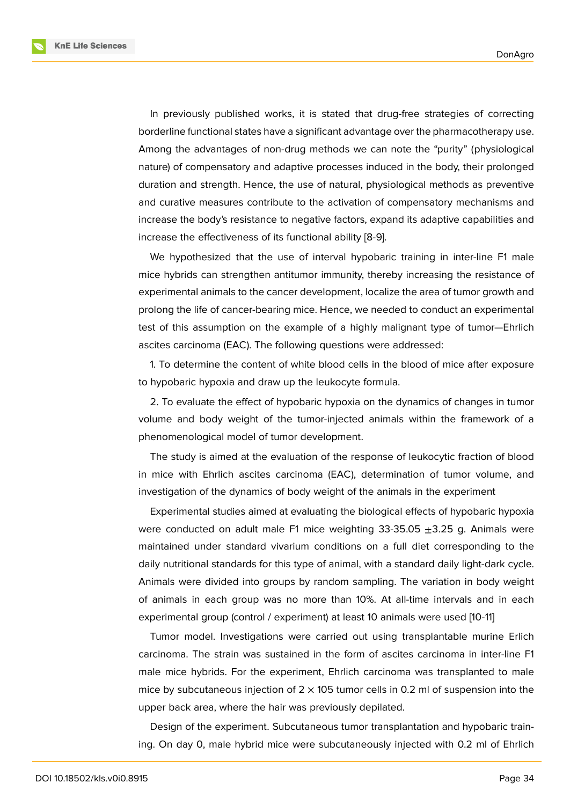**KnE Life Sciences** 



In previously published works, it is stated that drug-free strategies of correcting borderline functional states have a significant advantage over the pharmacotherapy use. Among the advantages of non-drug methods we can note the "purity" (physiological nature) of compensatory and adaptive processes induced in the body, their prolonged duration and strength. Hence, the use of natural, physiological methods as preventive and curative measures contribute to the activation of compensatory mechanisms and increase the body's resistance to negative factors, expand its adaptive capabilities and increase the effectiveness of its functional ability [8-9].

We hypothesized that the use of interval hypobaric training in inter-line F1 male mice hybrids can strengthen antitumor immunity, thereby increasing the resistance of experimental animals to the cancer development, localize the area of tumor growth and prolong the life of cancer-bearing mice. Hence, we needed to conduct an experimental test of this assumption on the example of a highly malignant type of tumor—Ehrlich ascites carcinoma (EAC). The following questions were addressed:

1. To determine the content of white blood cells in the blood of mice after exposure to hypobaric hypoxia and draw up the leukocyte formula.

2. To evaluate the effect of hypobaric hypoxia on the dynamics of changes in tumor volume and body weight of the tumor-injected animals within the framework of a phenomenological model of tumor development.

The study is aimed at the evaluation of the response of leukocytic fraction of blood in mice with Ehrlich ascites carcinoma (EAC), determination of tumor volume, and investigation of the dynamics of body weight of the animals in the experiment

Experimental studies aimed at evaluating the biological effects of hypobaric hypoxia were conducted on adult male F1 mice weighting  $33-35.05 \pm 3.25$  g. Animals were maintained under standard vivarium conditions on a full diet corresponding to the daily nutritional standards for this type of animal, with a standard daily light-dark cycle. Animals were divided into groups by random sampling. The variation in body weight of animals in each group was no more than 10%. At all-time intervals and in each experimental group (control / experiment) at least 10 animals were used [10-11]

Tumor model. Investigations were carried out using transplantable murine Erlich carcinoma. The strain was sustained in the form of ascites carcinoma in inter-line F1 male mice hybrids. For the experiment, Ehrlich carcinoma was transplanted to male mice by subcutaneous injection of  $2 \times 105$  tumor cells in 0.2 ml of suspension into the upper back area, where the hair was previously depilated.

Design of the experiment. Subcutaneous tumor transplantation and hypobaric training. On day 0, male hybrid mice were subcutaneously injected with 0.2 ml of Ehrlich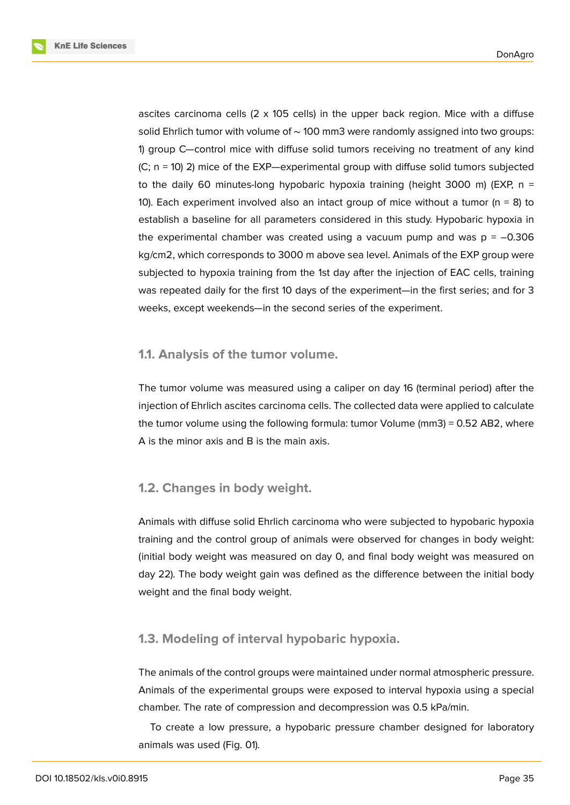**KnE Life Sciences** 

ascites carcinoma cells  $(2 \times 105$  cells) in the upper back region. Mice with a diffuse solid Ehrlich tumor with volume of ∼ 100 mm3 were randomly assigned into two groups: 1) group C—control mice with diffuse solid tumors receiving no treatment of any kind (C; n = 10) 2) mice of the EXP—experimental group with diffuse solid tumors subjected to the daily 60 minutes-long hypobaric hypoxia training (height 3000 m) (EXP,  $n =$ 10). Each experiment involved also an intact group of mice without a tumor ( $n = 8$ ) to establish a baseline for all parameters considered in this study. Hypobaric hypoxia in the experimental chamber was created using a vacuum pump and was  $p = -0.306$ kg/cm2, which corresponds to 3000 m above sea level. Animals of the EXP group were subjected to hypoxia training from the 1st day after the injection of EAC cells, training was repeated daily for the first 10 days of the experiment—in the first series; and for 3 weeks, except weekends—in the second series of the experiment.

#### **1.1. Analysis of the tumor volume.**

The tumor volume was measured using a caliper on day 16 (terminal period) after the injection of Ehrlich ascites carcinoma cells. The collected data were applied to calculate the tumor volume using the following formula: tumor Volume (mm3) = 0.52 AB2, where A is the minor axis and B is the main axis.

### **1.2. Changes in body weight.**

Animals with diffuse solid Ehrlich carcinoma who were subjected to hypobaric hypoxia training and the control group of animals were observed for changes in body weight: (initial body weight was measured on day 0, and final body weight was measured on day 22). The body weight gain was defined as the difference between the initial body weight and the final body weight.

#### **1.3. Modeling of interval hypobaric hypoxia.**

The animals of the control groups were maintained under normal atmospheric pressure. Animals of the experimental groups were exposed to interval hypoxia using a special chamber. The rate of compression and decompression was 0.5 kPa/min.

To create a low pressure, a hypobaric pressure chamber designed for laboratory animals was used (Fig. 01).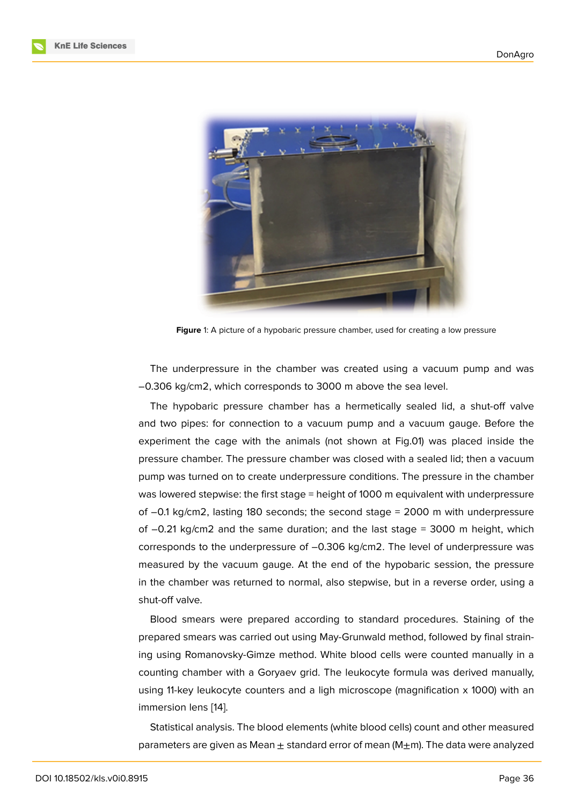

**Figure** 1: A picture of a hypobaric pressure chamber, used for creating a low pressure

The underpressure in the chamber was created using a vacuum pump and was –0.306 kg/cm2, which corresponds to 3000 m above the sea level.

The hypobaric pressure chamber has a hermetically sealed lid, a shut-off valve and two pipes: for connection to a vacuum pump and a vacuum gauge. Before the experiment the cage with the animals (not shown at Fig.01) was placed inside the pressure chamber. The pressure chamber was closed with a sealed lid; then a vacuum pump was turned on to create underpressure conditions. The pressure in the chamber was lowered stepwise: the first stage = height of 1000 m equivalent with underpressure of –0.1 kg/cm2, lasting 180 seconds; the second stage = 2000 m with underpressure of –0.21 kg/cm2 and the same duration; and the last stage = 3000 m height, which corresponds to the underpressure of –0.306 kg/cm2. The level of underpressure was measured by the vacuum gauge. At the end of the hypobaric session, the pressure in the chamber was returned to normal, also stepwise, but in a reverse order, using a shut-off valve.

Blood smears were prepared according to standard procedures. Staining of the prepared smears was carried out using May-Grunwald method, followed by final straining using Romanovsky-Gimze method. White blood cells were counted manually in a counting chamber with a Goryaev grid. The leukocyte formula was derived manually, using 11-key leukocyte counters and a ligh microscope (magnification x 1000) with an immersion lens [14].

Statistical analysis. The blood elements (white blood cells) count and other measured parameters are [giv](#page-13-0)en as Mean  $\pm$  standard error of mean (M $\pm$ m). The data were analyzed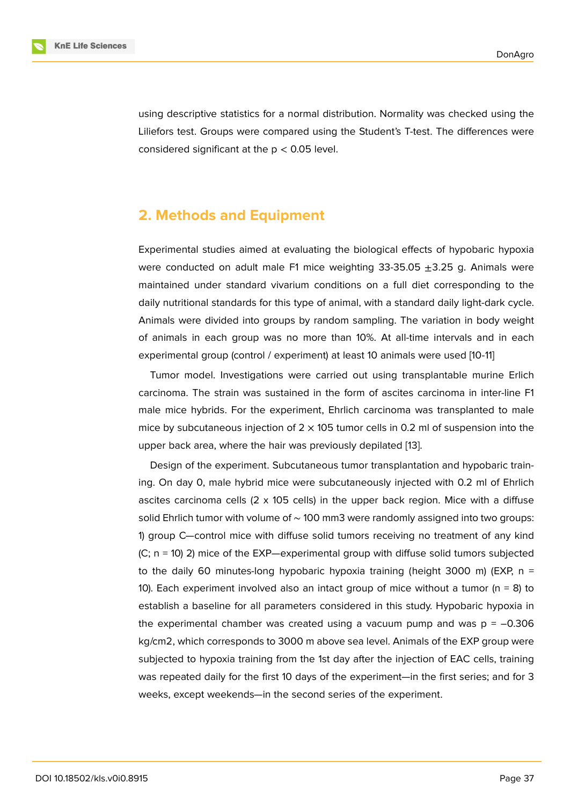using descriptive statistics for a normal distribution. Normality was checked using the Liliefors test. Groups were compared using the Student's T-test. The differences were considered significant at the  $p < 0.05$  level.

### **2. Methods and Equipment**

Experimental studies aimed at evaluating the biological effects of hypobaric hypoxia were conducted on adult male F1 mice weighting  $33-35.05 \pm 3.25$  g. Animals were maintained under standard vivarium conditions on a full diet corresponding to the daily nutritional standards for this type of animal, with a standard daily light-dark cycle. Animals were divided into groups by random sampling. The variation in body weight of animals in each group was no more than 10%. At all-time intervals and in each experimental group (control / experiment) at least 10 animals were used [10-11]

Tumor model. Investigations were carried out using transplantable murine Erlich carcinoma. The strain was sustained in the form of ascites carcinoma in inter-line F1 male mice hybrids. For the experiment, Ehrlich carcinoma was transplanted to male mice by subcutaneous injection of  $2 \times 105$  tumor cells in 0.2 ml of suspension into the upper back area, where the hair was previously depilated [13].

Design of the experiment. Subcutaneous tumor transplantation and hypobaric training. On day 0, male hybrid mice were subcutaneously injected with 0.2 ml of Ehrlich ascites carcinoma cells  $(2 \times 105$  cells) in the upper back [re](#page-13-1)gion. Mice with a diffuse solid Ehrlich tumor with volume of ~ 100 mm3 were randomly assigned into two groups: 1) group C—control mice with diffuse solid tumors receiving no treatment of any kind (C; n = 10) 2) mice of the EXP—experimental group with diffuse solid tumors subjected to the daily 60 minutes-long hypobaric hypoxia training (height 3000 m) (EXP,  $n =$ 10). Each experiment involved also an intact group of mice without a tumor ( $n = 8$ ) to establish a baseline for all parameters considered in this study. Hypobaric hypoxia in the experimental chamber was created using a vacuum pump and was  $p = -0.306$ kg/cm2, which corresponds to 3000 m above sea level. Animals of the EXP group were subjected to hypoxia training from the 1st day after the injection of EAC cells, training was repeated daily for the first 10 days of the experiment—in the first series; and for 3 weeks, except weekends—in the second series of the experiment.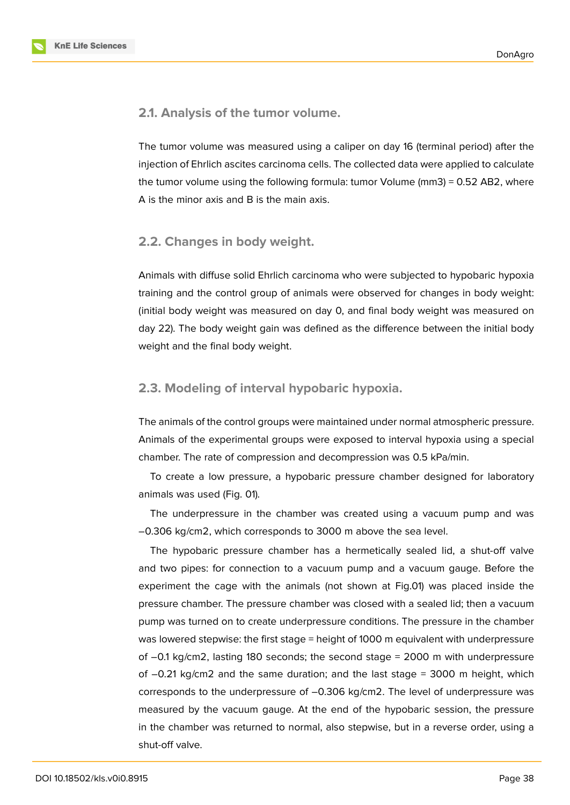

**2.1. Analysis of the tumor volume.**

The tumor volume was measured using a caliper on day 16 (terminal period) after the injection of Ehrlich ascites carcinoma cells. The collected data were applied to calculate the tumor volume using the following formula: tumor Volume (mm3) = 0.52 AB2, where A is the minor axis and B is the main axis.

#### **2.2. Changes in body weight.**

Animals with diffuse solid Ehrlich carcinoma who were subjected to hypobaric hypoxia training and the control group of animals were observed for changes in body weight: (initial body weight was measured on day 0, and final body weight was measured on day 22). The body weight gain was defined as the difference between the initial body weight and the final body weight.

#### **2.3. Modeling of interval hypobaric hypoxia.**

The animals of the control groups were maintained under normal atmospheric pressure. Animals of the experimental groups were exposed to interval hypoxia using a special chamber. The rate of compression and decompression was 0.5 kPa/min.

To create a low pressure, a hypobaric pressure chamber designed for laboratory animals was used (Fig. 01).

The underpressure in the chamber was created using a vacuum pump and was –0.306 kg/cm2, which corresponds to 3000 m above the sea level.

The hypobaric pressure chamber has a hermetically sealed lid, a shut-off valve and two pipes: for connection to a vacuum pump and a vacuum gauge. Before the experiment the cage with the animals (not shown at Fig.01) was placed inside the pressure chamber. The pressure chamber was closed with a sealed lid; then a vacuum pump was turned on to create underpressure conditions. The pressure in the chamber was lowered stepwise: the first stage = height of 1000 m equivalent with underpressure of –0.1 kg/cm2, lasting 180 seconds; the second stage = 2000 m with underpressure of  $-0.21$  kg/cm2 and the same duration; and the last stage = 3000 m height, which corresponds to the underpressure of –0.306 kg/cm2. The level of underpressure was measured by the vacuum gauge. At the end of the hypobaric session, the pressure in the chamber was returned to normal, also stepwise, but in a reverse order, using a shut-off valve.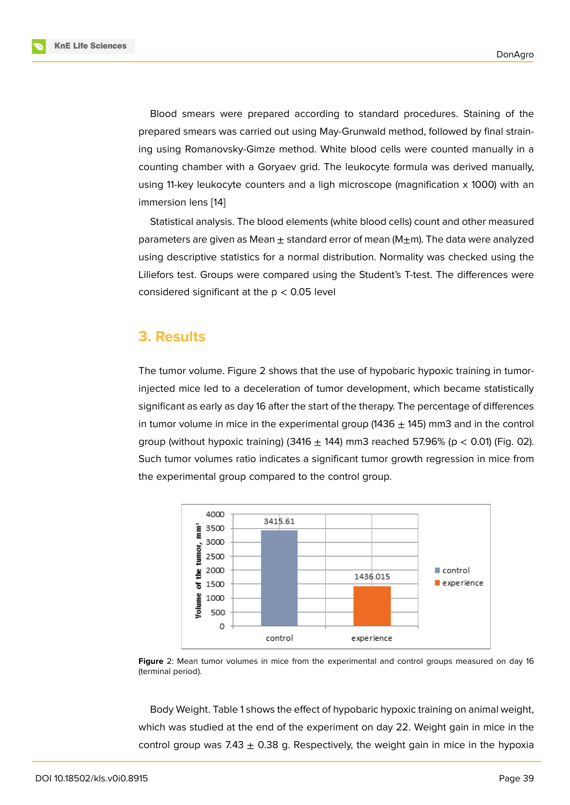Blood smears were prepared according to standard procedures. Staining of the prepared smears was carried out using May-Grunwald method, followed by final straining using Romanovsky-Gimze method. White blood cells were counted manually in a counting chamber with a Goryaev grid. The leukocyte formula was derived manually, using 11-key leukocyte counters and a ligh microscope (magnification x 1000) with an immersion lens [14]

Statistical analysis. The blood elements (white blood cells) count and other measured parameters are given as Mean  $\pm$  standard error of mean (M $\pm$ m). The data were analyzed using descriptiv[e s](#page-13-0)tatistics for a normal distribution. Normality was checked using the Liliefors test. Groups were compared using the Student's T-test. The differences were considered significant at the  $p < 0.05$  level

### **3. Results**

The tumor volume. Figure 2 shows that the use of hypobaric hypoxic training in tumorinjected mice led to a deceleration of tumor development, which became statistically significant as early as day 16 after the start of the therapy. The percentage of differences in tumor volume in mice in [th](#page-7-0)e experimental group  $(1436 \pm 145)$  mm3 and in the control group (without hypoxic training) (3416  $\pm$  144) mm3 reached 57.96% (p < 0.01) (Fig. 02). Such tumor volumes ratio indicates a significant tumor growth regression in mice from the experimental group compared to the control group.



**Figure** 2: Mean tumor volumes in mice from the experimental and control groups measured on day 16 (terminal period).

<span id="page-7-0"></span>Body Weight. Table 1 shows the effect of hypobaric hypoxic training on animal weight, which was studied at the end of the experiment on day 22. Weight gain in mice in the control group was 7.43  $\pm$  0.38 g. Respectively, the weight gain in mice in the hypoxia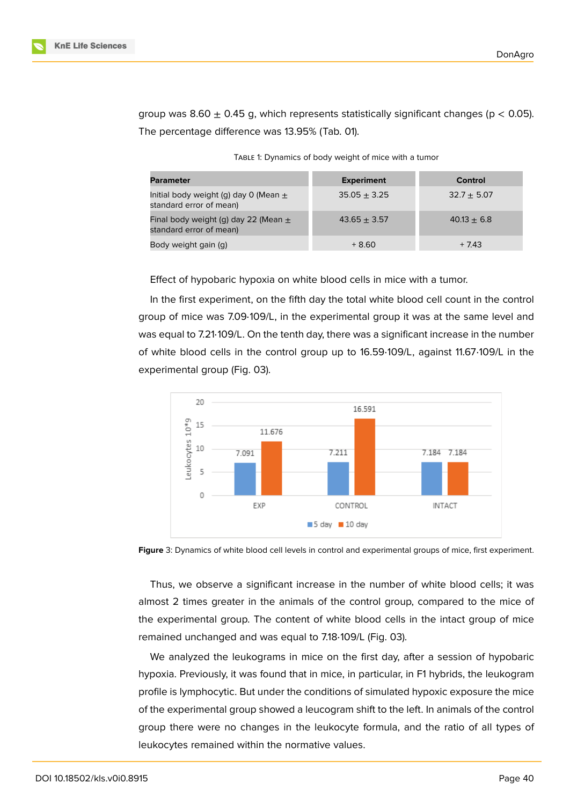group was 8.60  $\pm$  0.45 g, which represents statistically significant changes (p < 0.05). The percentage difference was 13.95% (Tab. 01).

TABLE 1: Dynamics of body weight of mice with a tumor

| <b>Parameter</b>                                                     | <b>Experiment</b> | Control       |
|----------------------------------------------------------------------|-------------------|---------------|
| Initial body weight (g) day 0 (Mean $\pm$<br>standard error of mean) | $35.05 + 3.25$    | $32.7 + 5.07$ |
| Final body weight (g) day 22 (Mean $\pm$<br>standard error of mean)  | $43.65 + 3.57$    | $40.13 + 6.8$ |
| Body weight gain (g)                                                 | $+8.60$           | $+7.43$       |

Effect of hypobaric hypoxia on white blood cells in mice with a tumor.

In the first experiment, on the fifth day the total white blood cell count in the control group of mice was 7.09⋅109/L, in the experimental group it was at the same level and was equal to 7.21⋅109/L. On the tenth day, there was a significant increase in the number of white blood cells in the control group up to 16.59⋅109/L, against 11.67⋅109/L in the experimental group (Fig. 03).



**Figure** 3: Dynamics of white blood cell levels in control and experimental groups of mice, first experiment.

Thus, we observe a significant increase in the number of white blood cells; it was almost 2 times greater in the animals of the control group, compared to the mice of the experimental group. The content of white blood cells in the intact group of mice remained unchanged and was equal to 7.18⋅109/L (Fig. 03).

We analyzed the leukograms in mice on the first day, after a session of hypobaric hypoxia. Previously, it was found that in mice, in particular, in F1 hybrids, the leukogram profile is lymphocytic. But under the conditions of simulated hypoxic exposure the mice of the experimental group showed a leucogram shift to the left. In animals of the control group there were no changes in the leukocyte formula, and the ratio of all types of leukocytes remained within the normative values.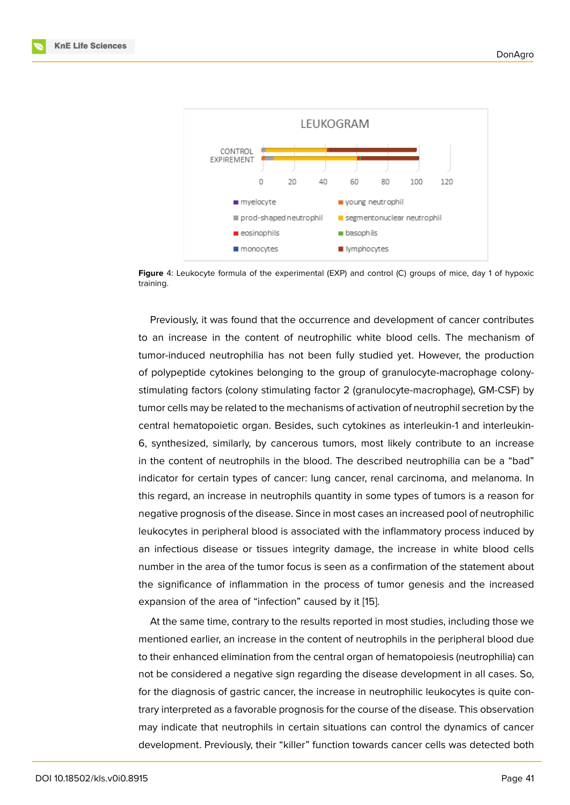

**Figure** 4: Leukocyte formula of the experimental (EXP) and control (C) groups of mice, day 1 of hypoxic training.

Previously, it was found that the occurrence and development of cancer contributes to an increase in the content of neutrophilic white blood cells. The mechanism of tumor-induced neutrophilia has not been fully studied yet. However, the production of polypeptide cytokines belonging to the group of granulocyte-macrophage colonystimulating factors (colony stimulating factor 2 (granulocyte-macrophage), GM-CSF) by tumor cells may be related to the mechanisms of activation of neutrophil secretion by the central hematopoietic organ. Besides, such cytokines as interleukin-1 and interleukin-6, synthesized, similarly, by cancerous tumors, most likely contribute to an increase in the content of neutrophils in the blood. The described neutrophilia can be a "bad" indicator for certain types of cancer: lung cancer, renal carcinoma, and melanoma. In this regard, an increase in neutrophils quantity in some types of tumors is a reason for negative prognosis of the disease. Since in most cases an increased pool of neutrophilic leukocytes in peripheral blood is associated with the inflammatory process induced by an infectious disease or tissues integrity damage, the increase in white blood cells number in the area of the tumor focus is seen as a confirmation of the statement about the significance of inflammation in the process of tumor genesis and the increased expansion of the area of "infection" caused by it [15].

At the same time, contrary to the results reported in most studies, including those we mentioned earlier, an increase in the content of neutrophils in the peripheral blood due to their enhanced elimination from the central org[an](#page-13-2) of hematopoiesis (neutrophilia) can not be considered a negative sign regarding the disease development in all cases. So, for the diagnosis of gastric cancer, the increase in neutrophilic leukocytes is quite contrary interpreted as a favorable prognosis for the course of the disease. This observation may indicate that neutrophils in certain situations can control the dynamics of cancer development. Previously, their "killer" function towards cancer cells was detected both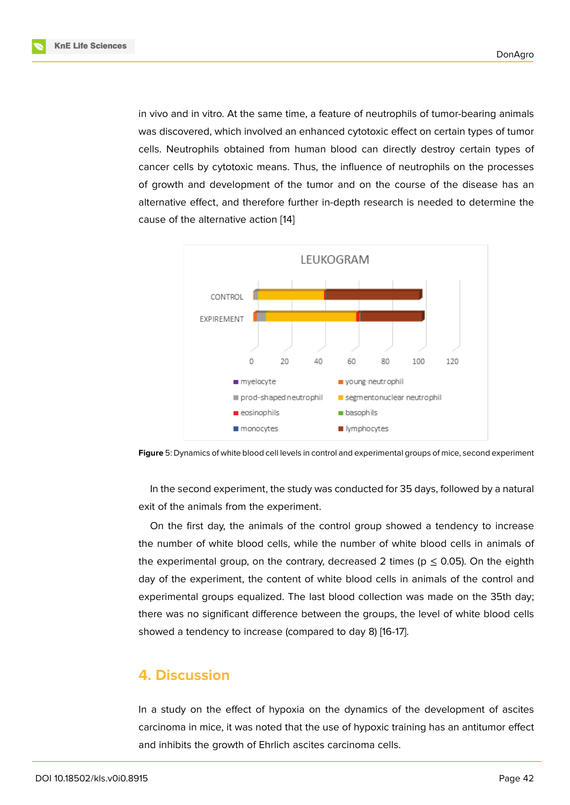in vivo and in vitro. At the same time, a feature of neutrophils of tumor-bearing animals was discovered, which involved an enhanced cytotoxic effect on certain types of tumor cells. Neutrophils obtained from human blood can directly destroy certain types of cancer cells by cytotoxic means. Thus, the influence of neutrophils on the processes of growth and development of the tumor and on the course of the disease has an alternative effect, and therefore further in-depth research is needed to determine the cause of the alternative action [14]





In the second experiment, the study was conducted for 35 days, followed by a natural exit of the animals from the experiment.

On the first day, the animals of the control group showed a tendency to increase the number of white blood cells, while the number of white blood cells in animals of the experimental group, on the contrary, decreased 2 times ( $p \le 0.05$ ). On the eighth day of the experiment, the content of white blood cells in animals of the control and experimental groups equalized. The last blood collection was made on the 35th day; there was no significant difference between the groups, the level of white blood cells showed a tendency to increase (compared to day 8) [16-17].

### **4. Discussion**

In a study on the effect of hypoxia on the dynamics of the development of ascites carcinoma in mice, it was noted that the use of hypoxic training has an antitumor effect and inhibits the growth of Ehrlich ascites carcinoma cells.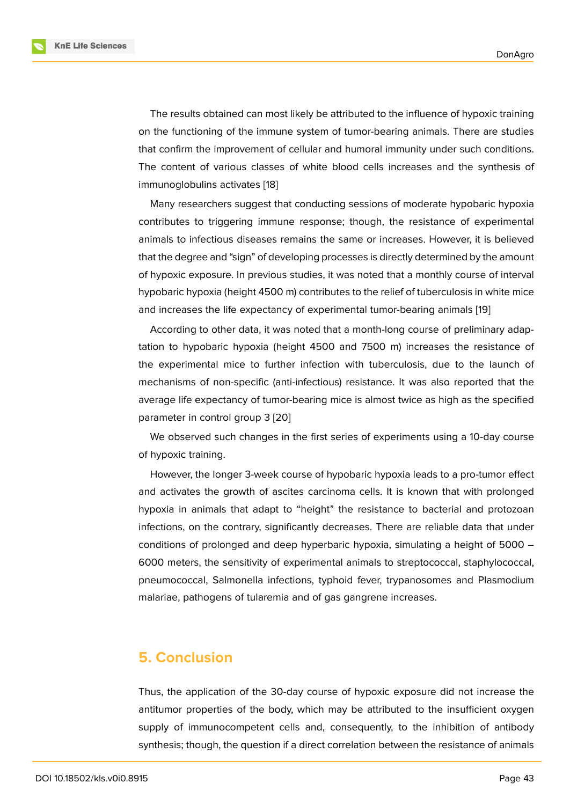The results obtained can most likely be attributed to the influence of hypoxic training on the functioning of the immune system of tumor-bearing animals. There are studies that confirm the improvement of cellular and humoral immunity under such conditions. The content of various classes of white blood cells increases and the synthesis of immunoglobulins activates [18]

Many researchers suggest that conducting sessions of moderate hypobaric hypoxia contributes to triggering immune response; though, the resistance of experimental animals to infectious disea[ses](#page-13-3) remains the same or increases. However, it is believed that the degree and "sign" of developing processes is directly determined by the amount of hypoxic exposure. In previous studies, it was noted that a monthly course of interval hypobaric hypoxia (height 4500 m) contributes to the relief of tuberculosis in white mice and increases the life expectancy of experimental tumor-bearing animals [19]

According to other data, it was noted that a month-long course of preliminary adaptation to hypobaric hypoxia (height 4500 and 7500 m) increases the resistance of the experimental mice to further infection with tuberculosis, due to t[he](#page-13-4) launch of mechanisms of non-specific (anti-infectious) resistance. It was also reported that the average life expectancy of tumor-bearing mice is almost twice as high as the specified parameter in control group 3 [20]

We observed such changes in the first series of experiments using a 10-day course of hypoxic training.

However, the longer 3-wee[k co](#page-14-0)urse of hypobaric hypoxia leads to a pro-tumor effect and activates the growth of ascites carcinoma cells. It is known that with prolonged hypoxia in animals that adapt to "height" the resistance to bacterial and protozoan infections, on the contrary, significantly decreases. There are reliable data that under conditions of prolonged and deep hyperbaric hypoxia, simulating a height of 5000 – 6000 meters, the sensitivity of experimental animals to streptococcal, staphylococcal, pneumococcal, Salmonella infections, typhoid fever, trypanosomes and Plasmodium malariae, pathogens of tularemia and of gas gangrene increases.

### **5. Conclusion**

Thus, the application of the 30-day course of hypoxic exposure did not increase the antitumor properties of the body, which may be attributed to the insufficient oxygen supply of immunocompetent cells and, consequently, to the inhibition of antibody synthesis; though, the question if a direct correlation between the resistance of animals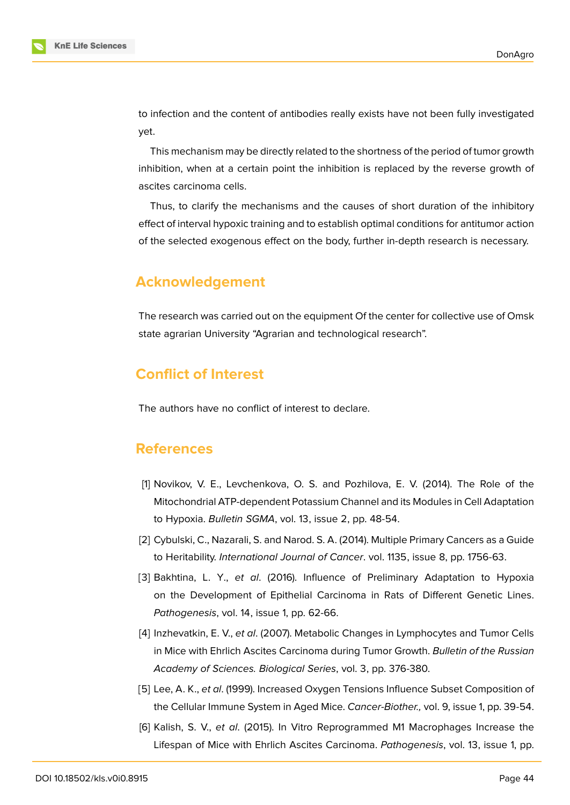

to infection and the content of antibodies really exists have not been fully investigated yet.

This mechanism may be directly related to the shortness of the period of tumor growth inhibition, when at a certain point the inhibition is replaced by the reverse growth of ascites carcinoma cells.

Thus, to clarify the mechanisms and the causes of short duration of the inhibitory effect of interval hypoxic training and to establish optimal conditions for antitumor action of the selected exogenous effect on the body, further in-depth research is necessary.

# **Acknowledgement**

The research was carried out on the equipment Of the center for collective use of Omsk state agrarian University "Agrarian and technological research".

# **Conflict of Interest**

The authors have no conflict of interest to declare.

# **References**

- <span id="page-12-0"></span>[1] Novikov, V. E., Levchenkova, O. S. and Pozhilova, E. V. (2014). The Role of the Mitochondrial ATP-dependent Potassium Channel and its Modules in Cell Adaptation to Hypoxia. *Bulletin SGMA*, vol. 13, issue 2, pp. 48-54.
- <span id="page-12-1"></span>[2] Cybulski, C., Nazarali, S. and Narod. S. A. (2014). Multiple Primary Cancers as a Guide to Heritability. *International Journal of Cancer*. vol. 1135, issue 8, pp. 1756-63.
- <span id="page-12-2"></span>[3] Bakhtina, L. Y., *et al*. (2016). Influence of Preliminary Adaptation to Hypoxia on the Development of Epithelial Carcinoma in Rats of Different Genetic Lines. *Pathogenesis*, vol. 14, issue 1, pp. 62-66.
- [4] Inzhevatkin, E. V., *et al*. (2007). Metabolic Changes in Lymphocytes and Tumor Cells in Mice with Ehrlich Ascites Carcinoma during Tumor Growth. *Bulletin of the Russian Academy of Sciences. Biological Series*, vol. 3, pp. 376-380.
- [5] Lee, A. K., *et al*. (1999). Increased Oxygen Tensions Influence Subset Composition of the Cellular Immune System in Aged Mice. *Cancer-Biother.,* vol. 9, issue 1, pp. 39-54.
- <span id="page-12-3"></span>[6] Kalish, S. V., *et al*. (2015). In Vitro Reprogrammed M1 Macrophages Increase the Lifespan of Mice with Ehrlich Ascites Carcinoma. *Pathogenesis*, vol. 13, issue 1, pp.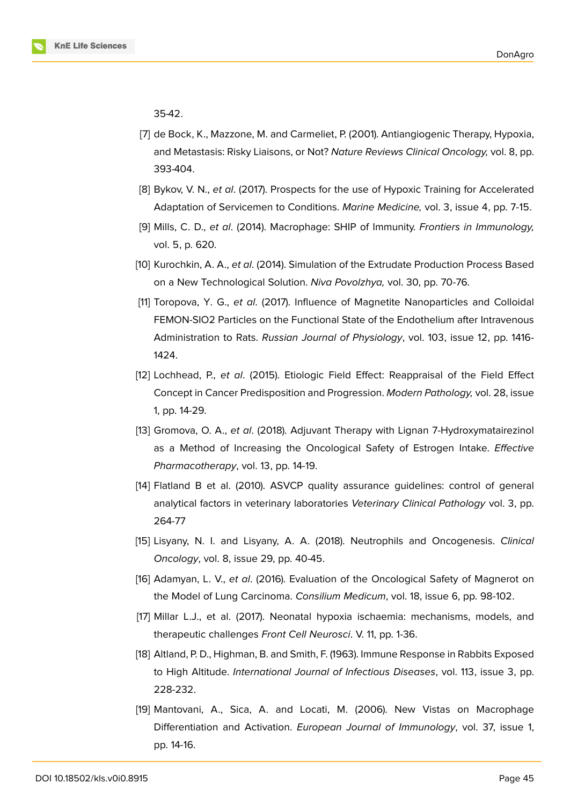

35-42.

- [7] de Bock, K., Mazzone, M. and Carmeliet, P. (2001). Antiangiogenic Therapy, Hypoxia, and Metastasis: Risky Liaisons, or Not? *Nature Reviews Clinical Oncology,* vol. 8, pp. 393-404.
- [8] Bykov, V. N., *et al*. (2017). Prospects for the use of Hypoxic Training for Accelerated Adaptation of Servicemen to Conditions. *Marine Medicine,* vol. 3, issue 4, pp. 7-15.
- [9] Mills, C. D., *et al*. (2014). Macrophage: SHIP of Immunity. *Frontiers in Immunology,* vol. 5, p. 620.
- [10] Kurochkin, A. A., *et al*. (2014). Simulation of the Extrudate Production Process Based on a New Technological Solution. *Niva Povolzhya,* vol. 30, pp. 70-76.
- [11] Toropova, Y. G., *et al*. (2017). Influence of Magnetite Nanoparticles and Colloidal FEMON-SIO2 Particles on the Functional State of the Endothelium after Intravenous Administration to Rats. *Russian Journal of Physiology*, vol. 103, issue 12, pp. 1416- 1424.
- [12] Lochhead, P., *et al*. (2015). Etiologic Field Effect: Reappraisal of the Field Effect Concept in Cancer Predisposition and Progression. *Modern Pathology,* vol. 28, issue 1, pp. 14-29.
- <span id="page-13-1"></span>[13] Gromova, O. A., *et al*. (2018). Adjuvant Therapy with Lignan 7-Hydroxymatairezinol as a Method of Increasing the Oncological Safety of Estrogen Intake. *Effective Pharmacotherapy*, vol. 13, pp. 14-19.
- <span id="page-13-0"></span>[14] Flatland B et al. (2010). ASVCP quality assurance guidelines: control of general analytical factors in veterinary laboratories *Veterinary Clinical Pathology* vol. 3, pp. 264-77
- <span id="page-13-2"></span>[15] Lisyany, N. I. and Lisyany, A. A. (2018). Neutrophils and Oncogenesis. *Clinical Oncology*, vol. 8, issue 29, pp. 40-45.
- [16] Adamyan, L. V., *et al*. (2016). Evaluation of the Oncological Safety of Magnerot on the Model of Lung Carcinoma. *Consilium Medicum*, vol. 18, issue 6, pp. 98-102.
- [17] Millar L.J., et al. (2017). Neonatal hypoxia ischaemia: mechanisms, models, and therapeutic challenges *Front Cell Neurosci*. V. 11, pp. 1-36.
- <span id="page-13-3"></span>[18] Altland, P. D., Highman, B. and Smith, F. (1963). Immune Response in Rabbits Exposed to High Altitude. *International Journal of Infectious Diseases*, vol. 113, issue 3, pp. 228-232.
- <span id="page-13-4"></span>[19] Mantovani, A., Sica, A. and Locati, M. (2006). New Vistas on Macrophage Differentiation and Activation. *European Journal of Immunology*, vol. 37, issue 1, pp. 14-16.